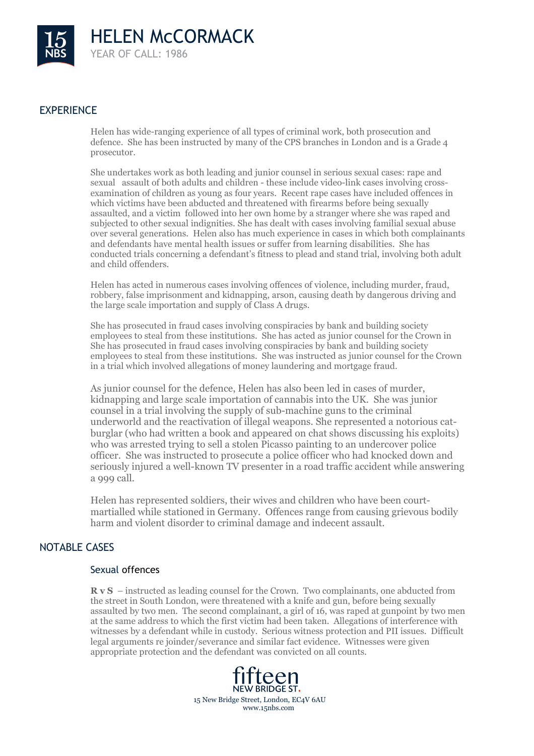

## EXPERIENCE

Helen has wide-ranging experience of all types of criminal work, both prosecution and defence. She has been instructed by many of the CPS branches in London and is a Grade 4 prosecutor.

She undertakes work as both leading and junior counsel in serious sexual cases: rape and sexual assault of both adults and children - these include video-link cases involving crossexamination of children as young as four years. Recent rape cases have included offences in which victims have been abducted and threatened with firearms before being sexually assaulted, and a victim followed into her own home by a stranger where she was raped and subjected to other sexual indignities. She has dealt with cases involving familial sexual abuse over several generations. Helen also has much experience in cases in which both complainants and defendants have mental health issues or suffer from learning disabilities. She has conducted trials concerning a defendant's fitness to plead and stand trial, involving both adult and child offenders.

Helen has acted in numerous cases involving offences of violence, including murder, fraud, robbery, false imprisonment and kidnapping, arson, causing death by dangerous driving and the large scale importation and supply of Class A drugs.

She has prosecuted in fraud cases involving conspiracies by bank and building society employees to steal from these institutions. She has acted as junior counsel for the Crown in She has prosecuted in fraud cases involving conspiracies by bank and building society employees to steal from these institutions. She was instructed as junior counsel for the Crown in a trial which involved allegations of money laundering and mortgage fraud.

As junior counsel for the defence, Helen has also been led in cases of murder, kidnapping and large scale importation of cannabis into the UK. She was junior counsel in a trial involving the supply of sub-machine guns to the criminal underworld and the reactivation of illegal weapons. She represented a notorious catburglar (who had written a book and appeared on chat shows discussing his exploits) who was arrested trying to sell a stolen Picasso painting to an undercover police officer. She was instructed to prosecute a police officer who had knocked down and seriously injured a well-known TV presenter in a road traffic accident while answering a 999 call.

Helen has represented soldiers, their wives and children who have been courtmartialled while stationed in Germany. Offences range from causing grievous bodily harm and violent disorder to criminal damage and indecent assault.

#### NOTABLE CASES

### Sexual offences

**R v S** – instructed as leading counsel for the Crown. Two complainants, one abducted from the street in South London, were threatened with a knife and gun, before being sexually assaulted by two men. The second complainant, a girl of 16, was raped at gunpoint by two men at the same address to which the first victim had been taken. Allegations of interference with witnesses by a defendant while in custody. Serious witness protection and PII issues. Difficult legal arguments re joinder/severance and similar fact evidence. Witnesses were given appropriate protection and the defendant was convicted on all counts.

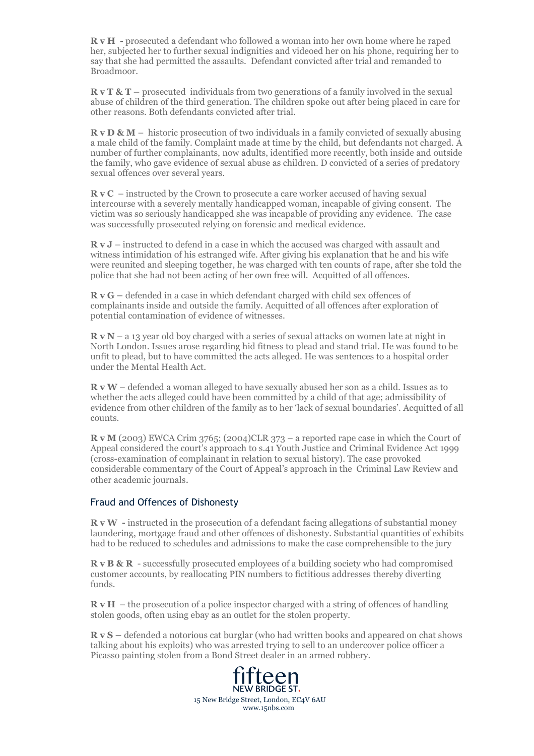**R v H -** prosecuted a defendant who followed a woman into her own home where he raped her, subjected her to further sexual indignities and videoed her on his phone, requiring her to say that she had permitted the assaults. Defendant convicted after trial and remanded to Broadmoor.

**R v T & T** – prosecuted individuals from two generations of a family involved in the sexual abuse of children of the third generation. The children spoke out after being placed in care for other reasons. Both defendants convicted after trial.

**R v D & M** – historic prosecution of two individuals in a family convicted of sexually abusing a male child of the family. Complaint made at time by the child, but defendants not charged. A number of further complainants, now adults, identified more recently, both inside and outside the family, who gave evidence of sexual abuse as children. D convicted of a series of predatory sexual offences over several years.

**R v C** – instructed by the Crown to prosecute a care worker accused of having sexual intercourse with a severely mentally handicapped woman, incapable of giving consent. The victim was so seriously handicapped she was incapable of providing any evidence. The case was successfully prosecuted relying on forensic and medical evidence.

**R v J** – instructed to defend in a case in which the accused was charged with assault and witness intimidation of his estranged wife. After giving his explanation that he and his wife were reunited and sleeping together, he was charged with ten counts of rape, after she told the police that she had not been acting of her own free will. Acquitted of all offences.

**R v G –** defended in a case in which defendant charged with child sex offences of complainants inside and outside the family. Acquitted of all offences after exploration of potential contamination of evidence of witnesses.

**R v N** – a 13 year old boy charged with a series of sexual attacks on women late at night in North London. Issues arose regarding hid fitness to plead and stand trial. He was found to be unfit to plead, but to have committed the acts alleged. He was sentences to a hospital order under the Mental Health Act.

**R v W** – defended a woman alleged to have sexually abused her son as a child. Issues as to whether the acts alleged could have been committed by a child of that age; admissibility of evidence from other children of the family as to her 'lack of sexual boundaries'. Acquitted of all counts.

**R v M** (2003) EWCA Crim 3765; (2004)CLR 373 – a reported rape case in which the Court of Appeal considered the court's approach to s.41 Youth Justice and Criminal Evidence Act 1999 (cross-examination of complainant in relation to sexual history). The case provoked considerable commentary of the Court of Appeal's approach in the Criminal Law Review and other academic journals.

#### Fraud and Offences of Dishonesty

**R v W** - instructed in the prosecution of a defendant facing allegations of substantial money laundering, mortgage fraud and other offences of dishonesty. Substantial quantities of exhibits had to be reduced to schedules and admissions to make the case comprehensible to the jury

**R v B & R** - successfully prosecuted employees of a building society who had compromised customer accounts, by reallocating PIN numbers to fictitious addresses thereby diverting funds.

**R v H** – the prosecution of a police inspector charged with a string of offences of handling stolen goods, often using ebay as an outlet for the stolen property.

**R v S –** defended a notorious cat burglar (who had written books and appeared on chat shows talking about his exploits) who was arrested trying to sell to an undercover police officer a Picasso painting stolen from a Bond Street dealer in an armed robbery.